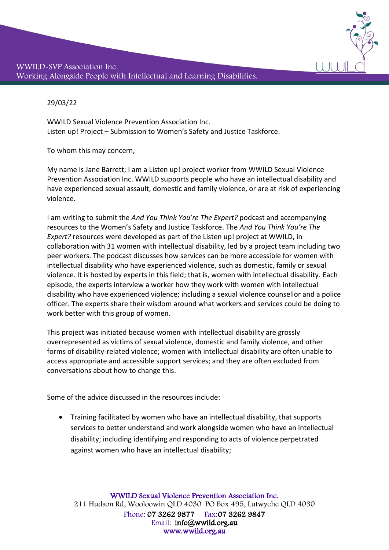

29/03/22

WWILD Sexual Violence Prevention Association Inc. Listen up! Project – Submission to Women's Safety and Justice Taskforce.

To whom this may concern,

My name is Jane Barrett; I am a Listen up! project worker from WWILD Sexual Violence Prevention Association Inc. WWILD supports people who have an intellectual disability and have experienced sexual assault, domestic and family violence, or are at risk of experiencing violence.

I am writing to submit the *And You Think You're The Expert?* podcast and accompanying resources to the Women's Safety and Justice Taskforce. The *And You Think You're The Expert?* resources were developed as part of the Listen up! project at WWILD, in collaboration with 31 women with intellectual disability, led by a project team including two peer workers. The podcast discusses how services can be more accessible for women with intellectual disability who have experienced violence, such as domestic, family or sexual violence. It is hosted by experts in this field; that is, women with intellectual disability. Each episode, the experts interview a worker how they work with women with intellectual disability who have experienced violence; including a sexual violence counsellor and a police officer. The experts share their wisdom around what workers and services could be doing to work better with this group of women.

This project was initiated because women with intellectual disability are grossly overrepresented as victims of sexual violence, domestic and family violence, and other forms of disability-related violence; women with intellectual disability are often unable to access appropriate and accessible support services; and they are often excluded from conversations about how to change this.

Some of the advice discussed in the resources include:

• Training facilitated by women who have an intellectual disability, that supports services to better understand and work alongside women who have an intellectual disability; including identifying and responding to acts of violence perpetrated against women who have an intellectual disability;